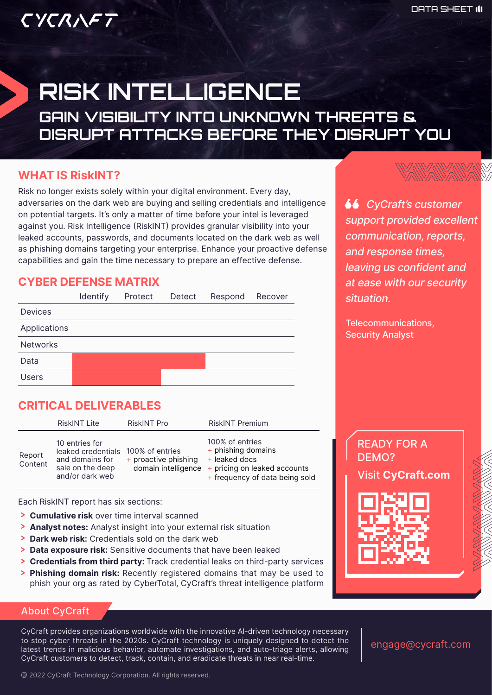# CYCRAFT

# RISK INTELLIGENCE GAIN VISIBILITY INTO UNKNOWN THREATS & DISRUPT ATTACKS BEFORE THEY DISRUPT YOU

#### **WHAT IS RiskINT?**

Risk no longer exists solely within your digital environment. Every day, adversaries on the dark web are buying and selling credentials and intelligence on potential targets. It's only a matter of time before your intel is leveraged against you. Risk Intelligence (RiskINT) provides granular visibility into your leaked accounts, passwords, and documents located on the dark web as well as phishing domains targeting your enterprise. Enhance your proactive defense capabilities and gain the time necessary to prepare an effective defense.

#### **CYBER DEFENSE MATRIX**



# **CRITICAL DELIVERABLES**

RiskINT Lite RiskINT Pro RiskINT Premium Report Content 10 entries for leaked credentials 100% of entries and domains for sale on the deep and/or dark web + proactive phishing domain intelligence 100% of entries + phishing domains + leaked docs + pricing on leaked accounts + frequency of data being sold

Each RiskINT report has six sections:

- **> Cumulative risk** over time interval scanned
- > **Analyst notes:** Analyst insight into your external risk situation
- **> Dark web risk:** Credentials sold on the dark web
- > Data exposure risk: Sensitive documents that have been leaked
- **Credentials from third party:** Track credential leaks on third-party services
- > **Phishing domain risk:** Recently registered domains that may be used to phish your org as rated by CyberTotal, CyCraft's threat intelligence platform

#### About CyCraft

CyCraft provides organizations worldwide with the innovative AI-driven technology necessary to stop cyber threats in the 2020s. CyCraft technology is uniquely designed to detect the latest trends in malicious behavior, automate investigations, and auto-triage alerts, allowing CyCraft customers to detect, track, contain, and eradicate threats in near real-time.

engage@cycraft.com

 *CyCraft's customer support provided excellent communication, reports, and response times, leaving us confident and at ease with our security situation.*

Telecommunications, Security Analyst

READY FOR A DEMO?

Visit **CyCraft.com**